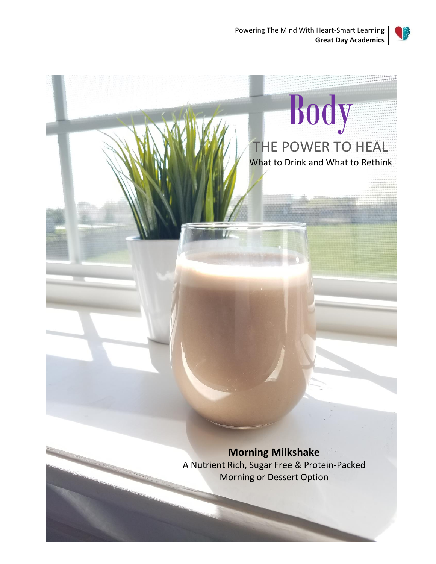



# **Morning Milkshake** A Nutrient Rich, Sugar Free & Protein-Packed Morning or Dessert Option Body THE POWER TO HEAL What to Drink and What to Rethink

Great Day Academics™ | All Rights Reserved © 2019 | www.GreatDayAcademics.org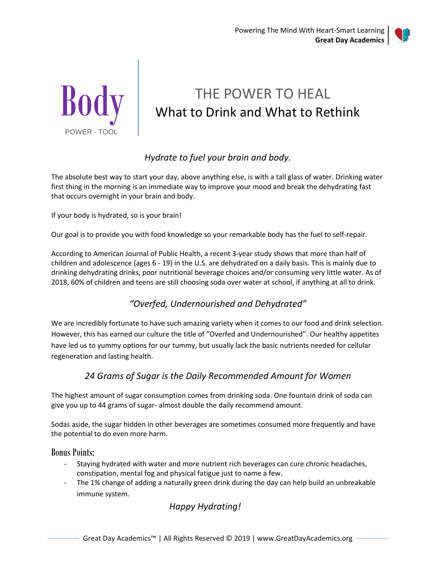



# THE POWER TO HEAL What to Drink and What to Rethink

### *Hydrate to fuel your brain and body.*

The absolute best way to start your day, above anything else, is with a tall glass of water. Drinking water first thing in the morning is an immediate way to improve your mood and break the dehydrating fast that occurs overnight in your brain and body.

If your body is hydrated, so is your brain!

Our goal is to provide you with food knowledge so your remarkable body has the fuel to self-repair.

According to American Journal of Public Health, a recent 3-year study shows that more than half of children and adolescence (ages 6 - 19) in the U.S. are dehydrated on a daily basis. This is mainly due to drinking dehydrating drinks, poor nutritional beverage choices and/or consuming very little water. As of 2018, 60% of children and teens are still choosing soda over water at school, if anything at all to drink.

### *"Overfed, Undernourished and Dehydrated"*

We are incredibly fortunate to have such amazing variety when it comes to our food and drink selection. However, this has earned our culture the title of "Overfed and Undernourished". Our healthy appetites have led us to yummy options for our tummy, but usually lack the basic nutrients needed for cellular regeneration and lasting health.

#### *24 Grams of Sugar is the Daily Recommended Amount for Women*

The highest amount of sugar consumption comes from drinking soda. One fountain drink of soda can give you up to 44 grams of sugar- almost double the daily recommend amount.

Sodas aside, the sugar hidden in other beverages are sometimes consumed more frequently and have the potential to do even more harm.

Bonus Points:

- Staying hydrated with water and more nutrient rich beverages can cure chronic headaches, constipation, mental fog and physical fatigue just to name a few.
- The 1% change of adding a naturally green drink during the day can help build an unbreakable immune system.

### *Happy Hydrating!*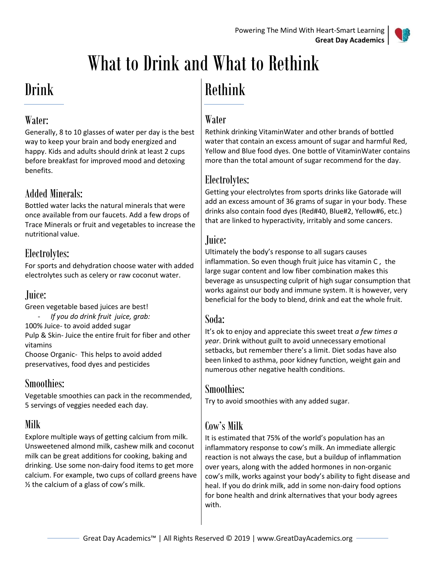

# What to Drink and What to Rethink

# Drink

## Water:

Generally, 8 to 10 glasses of water per day is the best way to keep your brain and body energized and happy. Kids and adults should drink at least 2 cups before breakfast for improved mood and detoxing benefits.

# Added Minerals:

Bottled water lacks the natural minerals that were once available from our faucets. Add a few drops of Trace Minerals or fruit and vegetables to increase the nutritional value.

# Electrolytes:

For sports and dehydration choose water with added electrolytes such as celery or raw coconut water.

# Juice:

Green vegetable based juices are best! - *If you do drink fruit juice, grab:*

100% Juice- to avoid added sugar

Pulp & Skin- Juice the entire fruit for fiber and other vitamins

Choose Organic- This helps to avoid added preservatives, food dyes and pesticides

# Smoothies:

Vegetable smoothies can pack in the recommended, 5 servings of veggies needed each day.

# Milk

Explore multiple ways of getting calcium from milk. Unsweetened almond milk, cashew milk and coconut milk can be great additions for cooking, baking and drinking. Use some non-dairy food items to get more calcium. For example, two cups of collard greens have  $\frac{1}{2}$  the calcium of a glass of cow's milk.

# Rethink

## Water

Rethink drinking VitaminWater and other brands of bottled water that contain an excess amount of sugar and harmful Red, Yellow and Blue food dyes. One bottle of VitaminWater contains more than the total amount of sugar recommend for the day.

## Electrolytes:

Getting your electrolytes from sports drinks like Gatorade will add an excess amount of 36 grams of sugar in your body. These drinks also contain food dyes (Red#40, Blue#2, Yellow#6, etc.) that are linked to hyperactivity, irritably and some cancers.

## Juice:

Ultimately the body's response to all sugars causes inflammation. So even though fruit juice has vitamin C , the large sugar content and low fiber combination makes this beverage as unsuspecting culprit of high sugar consumption that works against our body and immune system. It is however, very beneficial for the body to blend, drink and eat the whole fruit.

## Soda:

It's ok to enjoy and appreciate this sweet treat *a few times a year*. Drink without guilt to avoid unnecessary emotional setbacks, but remember there's a limit. Diet sodas have also been linked to asthma, poor kidney function, weight gain and numerous other negative health conditions.

### Smoothies:

Try to avoid smoothies with any added sugar.

## Cow's Milk

It is estimated that 75% of the world's population has an inflammatory response to cow's milk. An immediate allergic reaction is not always the case, but a buildup of inflammation over years, along with the added hormones in non-organic cow's milk, works against your body's ability to fight disease and heal. If you do drink milk, add in some non-dairy food options for bone health and drink alternatives that your body agrees with.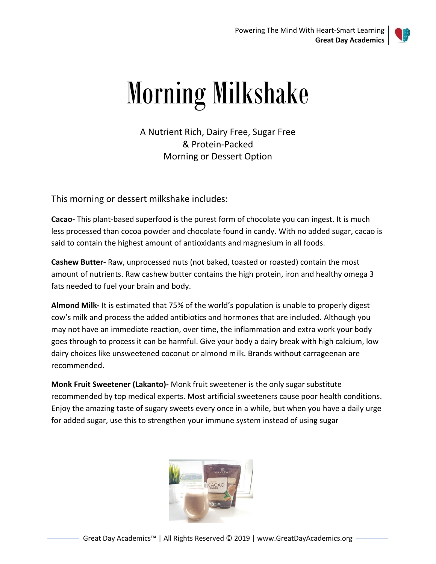

# Morning Milkshake

A Nutrient Rich, Dairy Free, Sugar Free & Protein-Packed Morning or Dessert Option

This morning or dessert milkshake includes:

**Cacao-** This plant-based superfood is the purest form of chocolate you can ingest. It is much less processed than cocoa powder and chocolate found in candy. With no added sugar, cacao is said to contain the highest amount of antioxidants and magnesium in all foods.

**Cashew Butter-** Raw, unprocessed nuts (not baked, toasted or roasted) contain the most amount of nutrients. Raw cashew butter contains the high protein, iron and healthy omega 3 fats needed to fuel your brain and body.

**Almond Milk-** It is estimated that 75% of the world's population is unable to properly digest cow's milk and process the added antibiotics and hormones that are included. Although you may not have an immediate reaction, over time, the inflammation and extra work your body goes through to process it can be harmful. Give your body a dairy break with high calcium, low dairy choices like unsweetened coconut or almond milk. Brands without carrageenan are recommended.

**Monk Fruit Sweetener (Lakanto)-** Monk fruit sweetener is the only sugar substitute recommended by top medical experts. Most artificial sweeteners cause poor health conditions. Enjoy the amazing taste of sugary sweets every once in a while, but when you have a daily urge for added sugar, use this to strengthen your immune system instead of using sugar

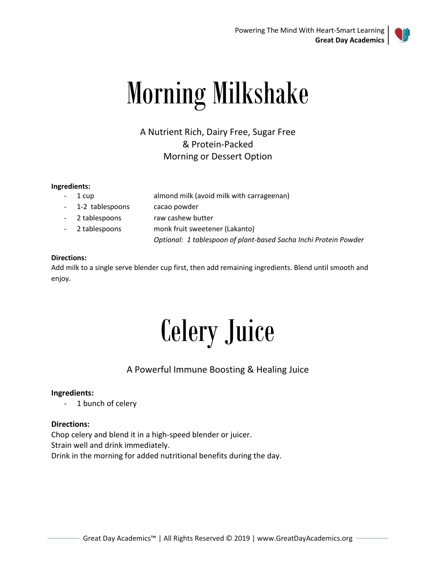

# Morning Milkshake

A Nutrient Rich, Dairy Free, Sugar Free & Protein-Packed Morning or Dessert Option

#### **Ingredients:**

- 1 cup almond milk (avoid milk with carrageenan) 1-2 tablespoons cacao powder - 2 tablespoons raw cashew butter
- 2 tablespoons monk fruit sweetener (Lakanto)

*Optional: 1 tablespoon of plant-based Sacha Inchi Protein Powder*

#### **Directions:**

Add milk to a single serve blender cup first, then add remaining ingredients. Blend until smooth and enjoy.

# Celery Juice

### A Powerful Immune Boosting & Healing Juice

#### **Ingredients:**

- 1 bunch of celery

#### **Directions:**

Chop celery and blend it in a high-speed blender or juicer. Strain well and drink immediately. Drink in the morning for added nutritional benefits during the day.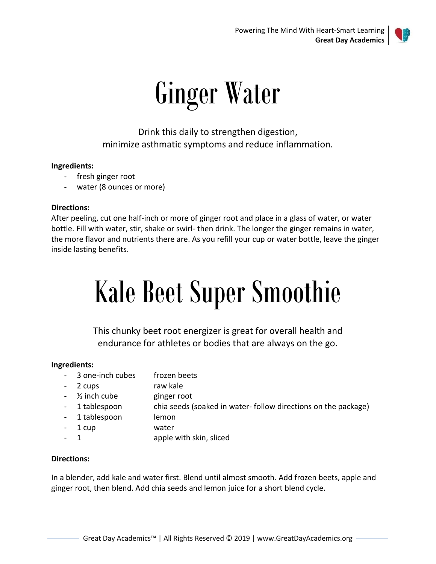

# Ginger Water

Drink this daily to strengthen digestion, minimize asthmatic symptoms and reduce inflammation.

#### **Ingredients:**

- fresh ginger root
- water (8 ounces or more)

#### **Directions:**

After peeling, cut one half-inch or more of ginger root and place in a glass of water, or water bottle. Fill with water, stir, shake or swirl- then drink. The longer the ginger remains in water, the more flavor and nutrients there are. As you refill your cup or water bottle, leave the ginger inside lasting benefits.

# Kale Beet Super Smoothie

This chunky beet root energizer is great for overall health and endurance for athletes or bodies that are always on the go.

#### **Ingredients:**

- 3 one-inch cubes frozen beets
- 2 cups raw kale
- $\frac{1}{2}$  inch cube ginger root
- 1 tablespoon chia seeds (soaked in water- follow directions on the package)
- 1 tablespoon lemon
- 1 cup water
- 1 apple with skin, sliced

#### **Directions:**

In a blender, add kale and water first. Blend until almost smooth. Add frozen beets, apple and ginger root, then blend. Add chia seeds and lemon juice for a short blend cycle.